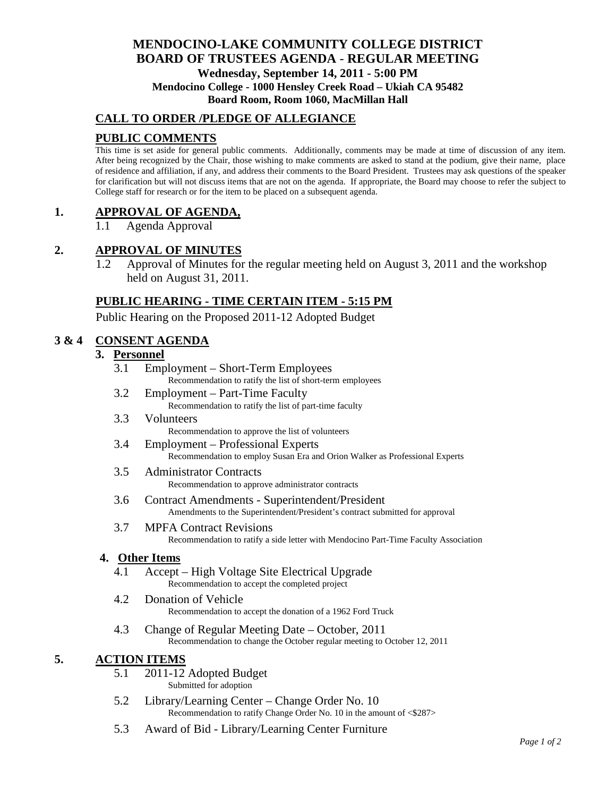# **MENDOCINO-LAKE COMMUNITY COLLEGE DISTRICT BOARD OF TRUSTEES AGENDA** - **REGULAR MEETING Wednesday, September 14, 2011 - 5:00 PM Mendocino College - 1000 Hensley Creek Road – Ukiah CA 95482 Board Room, Room 1060, MacMillan Hall**

# **CALL TO ORDER /PLEDGE OF ALLEGIANCE**

# **PUBLIC COMMENTS**

This time is set aside for general public comments. Additionally, comments may be made at time of discussion of any item. After being recognized by the Chair, those wishing to make comments are asked to stand at the podium, give their name, place of residence and affiliation, if any, and address their comments to the Board President. Trustees may ask questions of the speaker for clarification but will not discuss items that are not on the agenda. If appropriate, the Board may choose to refer the subject to College staff for research or for the item to be placed on a subsequent agenda.

## **1. APPROVAL OF AGENDA,**

1.1 Agenda Approval

## **2. APPROVAL OF MINUTES**

1.2 Approval of Minutes for the regular meeting held on August 3, 2011 and the workshop held on August 31, 2011.

## **PUBLIC HEARING - TIME CERTAIN ITEM - 5:15 PM**

Public Hearing on the Proposed 2011-12 Adopted Budget

## **3 & 4 CONSENT AGENDA**

## **3. Personnel**

- 3.1 Employment Short-Term Employees Recommendation to ratify the list of short-term employees
- 3.2 Employment Part-Time Faculty Recommendation to ratify the list of part-time faculty
- 3.3 Volunteers Recommendation to approve the list of volunteers
- 3.4 Employment Professional Experts Recommendation to employ Susan Era and Orion Walker as Professional Experts

## 3.5 Administrator Contracts Recommendation to approve administrator contracts

- 3.6 Contract Amendments Superintendent/President Amendments to the Superintendent/President's contract submitted for approval
- 3.7 MPFA Contract Revisions Recommendation to ratify a side letter with Mendocino Part-Time Faculty Association

#### **4. Other Items**

- 4.1 Accept High Voltage Site Electrical Upgrade Recommendation to accept the completed project
- 4.2 Donation of Vehicle Recommendation to accept the donation of a 1962 Ford Truck
- 4.3 Change of Regular Meeting Date October, 2011 Recommendation to change the October regular meeting to October 12, 2011

# **5. ACTION ITEMS**

- 5.1 2011-12 Adopted Budget Submitted for adoption
- 5.2 Library/Learning Center Change Order No. 10 Recommendation to ratify Change Order No. 10 in the amount of <\$287>
- 5.3 Award of Bid Library/Learning Center Furniture